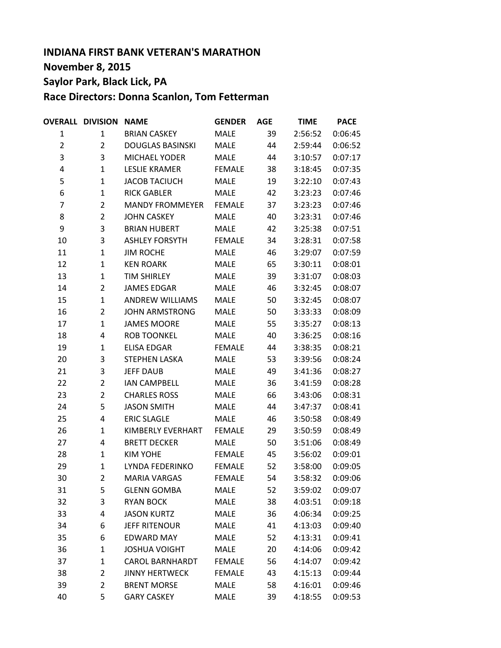# **INDIANA FIRST BANK VETERAN'S MARATHON November 8, 2015 Saylor Park, Black Lick, PA Race Directors: Donna Scanlon, Tom Fetterman**

|                | <b>OVERALL DIVISION</b> | <b>NAME</b>             | <b>GENDER</b> | <b>AGE</b> | <b>TIME</b> | <b>PACE</b> |
|----------------|-------------------------|-------------------------|---------------|------------|-------------|-------------|
| 1              | 1                       | <b>BRIAN CASKEY</b>     | <b>MALE</b>   | 39         | 2:56:52     | 0:06:45     |
| $\overline{2}$ | $\overline{2}$          | <b>DOUGLAS BASINSKI</b> | <b>MALE</b>   | 44         | 2:59:44     | 0:06:52     |
| 3              | 3                       | <b>MICHAEL YODER</b>    | <b>MALE</b>   | 44         | 3:10:57     | 0:07:17     |
| 4              | $\mathbf{1}$            | <b>LESLIE KRAMER</b>    | <b>FEMALE</b> | 38         | 3:18:45     | 0:07:35     |
| 5              | $\mathbf{1}$            | <b>JACOB TACIUCH</b>    | <b>MALE</b>   | 19         | 3:22:10     | 0:07:43     |
| 6              | $\mathbf{1}$            | <b>RICK GABLER</b>      | <b>MALE</b>   | 42         | 3:23:23     | 0:07:46     |
| $\overline{7}$ | $\overline{2}$          | <b>MANDY FROMMEYER</b>  | <b>FEMALE</b> | 37         | 3:23:23     | 0:07:46     |
| 8              | $\overline{2}$          | <b>JOHN CASKEY</b>      | <b>MALE</b>   | 40         | 3:23:31     | 0:07:46     |
| 9              | 3                       | <b>BRIAN HUBERT</b>     | <b>MALE</b>   | 42         | 3:25:38     | 0:07:51     |
| 10             | 3                       | <b>ASHLEY FORSYTH</b>   | <b>FEMALE</b> | 34         | 3:28:31     | 0:07:58     |
| 11             | $\mathbf{1}$            | <b>JIM ROCHE</b>        | <b>MALE</b>   | 46         | 3:29:07     | 0:07:59     |
| 12             | $\mathbf{1}$            | <b>KEN ROARK</b>        | <b>MALE</b>   | 65         | 3:30:11     | 0:08:01     |
| 13             | $\mathbf{1}$            | <b>TIM SHIRLEY</b>      | <b>MALE</b>   | 39         | 3:31:07     | 0:08:03     |
| 14             | $\overline{2}$          | <b>JAMES EDGAR</b>      | <b>MALE</b>   | 46         | 3:32:45     | 0:08:07     |
| 15             | $\mathbf{1}$            | <b>ANDREW WILLIAMS</b>  | <b>MALE</b>   | 50         | 3:32:45     | 0:08:07     |
| 16             | $\overline{2}$          | <b>JOHN ARMSTRONG</b>   | <b>MALE</b>   | 50         | 3:33:33     | 0:08:09     |
| 17             | $\mathbf{1}$            | <b>JAMES MOORE</b>      | <b>MALE</b>   | 55         | 3:35:27     | 0:08:13     |
| 18             | 4                       | <b>ROB TOONKEL</b>      | <b>MALE</b>   | 40         | 3:36:25     | 0:08:16     |
| 19             | $\mathbf{1}$            | <b>ELISA EDGAR</b>      | <b>FEMALE</b> | 44         | 3:38:35     | 0:08:21     |
| 20             | 3                       | <b>STEPHEN LASKA</b>    | <b>MALE</b>   | 53         | 3:39:56     | 0:08:24     |
| 21             | 3                       | <b>JEFF DAUB</b>        | <b>MALE</b>   | 49         | 3:41:36     | 0:08:27     |
| 22             | $\overline{2}$          | <b>IAN CAMPBELL</b>     | <b>MALE</b>   | 36         | 3:41:59     | 0:08:28     |
| 23             | $\overline{2}$          | <b>CHARLES ROSS</b>     | <b>MALE</b>   | 66         | 3:43:06     | 0:08:31     |
| 24             | 5                       | <b>JASON SMITH</b>      | <b>MALE</b>   | 44         | 3:47:37     | 0:08:41     |
| 25             | 4                       | <b>ERIC SLAGLE</b>      | <b>MALE</b>   | 46         | 3:50:58     | 0:08:49     |
| 26             | $\mathbf{1}$            | KIMBERLY EVERHART       | <b>FEMALE</b> | 29         | 3:50:59     | 0:08:49     |
| 27             | 4                       | <b>BRETT DECKER</b>     | <b>MALE</b>   | 50         | 3:51:06     | 0:08:49     |
| 28             | $\mathbf{1}$            | <b>KIM YOHE</b>         | <b>FEMALE</b> | 45         | 3:56:02     | 0:09:01     |
| 29             | $\mathbf{1}$            | LYNDA FEDERINKO         | <b>FEMALE</b> | 52         | 3:58:00     | 0:09:05     |
| 30             | 2                       | <b>MARIA VARGAS</b>     | <b>FEMALE</b> | 54         | 3:58:32     | 0:09:06     |
| 31             | 5                       | <b>GLENN GOMBA</b>      | <b>MALE</b>   | 52         | 3:59:02     | 0:09:07     |
| 32             | 3                       | <b>RYAN BOCK</b>        | <b>MALE</b>   | 38         | 4:03:51     | 0:09:18     |
| 33             | 4                       | <b>JASON KURTZ</b>      | <b>MALE</b>   | 36         | 4:06:34     | 0:09:25     |
| 34             | 6                       | <b>JEFF RITENOUR</b>    | <b>MALE</b>   | 41         | 4:13:03     | 0:09:40     |
| 35             | 6                       | <b>EDWARD MAY</b>       | <b>MALE</b>   | 52         | 4:13:31     | 0:09:41     |
| 36             | $\mathbf{1}$            | <b>JOSHUA VOIGHT</b>    | <b>MALE</b>   | 20         | 4:14:06     | 0:09:42     |
| 37             | $\mathbf{1}$            | <b>CAROL BARNHARDT</b>  | <b>FEMALE</b> | 56         | 4:14:07     | 0:09:42     |
| 38             | $\overline{2}$          | <b>JINNY HERTWECK</b>   | <b>FEMALE</b> | 43         | 4:15:13     | 0:09:44     |
| 39             | $\overline{2}$          | <b>BRENT MORSE</b>      | <b>MALE</b>   | 58         | 4:16:01     | 0:09:46     |
| 40             | 5                       | <b>GARY CASKEY</b>      | <b>MALE</b>   | 39         | 4:18:55     | 0:09:53     |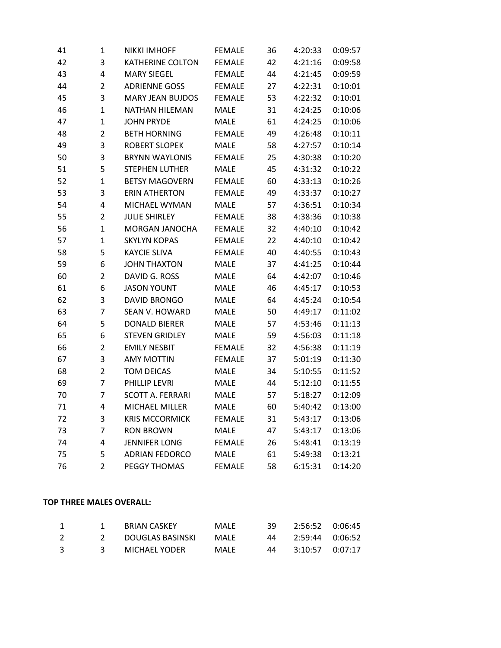| 41 | $\mathbf 1$    | <b>NIKKI IMHOFF</b>     | <b>FEMALE</b> | 36 | 4:20:33 | 0:09:57 |
|----|----------------|-------------------------|---------------|----|---------|---------|
| 42 | 3              | <b>KATHERINE COLTON</b> | <b>FEMALE</b> | 42 | 4:21:16 | 0:09:58 |
| 43 | 4              | <b>MARY SIEGEL</b>      | <b>FEMALE</b> | 44 | 4:21:45 | 0:09:59 |
| 44 | $\overline{2}$ | <b>ADRIENNE GOSS</b>    | <b>FEMALE</b> | 27 | 4:22:31 | 0:10:01 |
| 45 | 3              | <b>MARY JEAN BUJDOS</b> | <b>FEMALE</b> | 53 | 4:22:32 | 0:10:01 |
| 46 | $\mathbf{1}$   | <b>NATHAN HILEMAN</b>   | <b>MALE</b>   | 31 | 4:24:25 | 0:10:06 |
| 47 | $\mathbf 1$    | <b>JOHN PRYDE</b>       | <b>MALE</b>   | 61 | 4:24:25 | 0:10:06 |
| 48 | $\overline{2}$ | <b>BETH HORNING</b>     | <b>FEMALE</b> | 49 | 4:26:48 | 0:10:11 |
| 49 | 3              | <b>ROBERT SLOPEK</b>    | <b>MALE</b>   | 58 | 4:27:57 | 0:10:14 |
| 50 | 3              | <b>BRYNN WAYLONIS</b>   | <b>FEMALE</b> | 25 | 4:30:38 | 0:10:20 |
| 51 | 5              | <b>STEPHEN LUTHER</b>   | <b>MALE</b>   | 45 | 4:31:32 | 0:10:22 |
| 52 | $\mathbf{1}$   | <b>BETSY MAGOVERN</b>   | <b>FEMALE</b> | 60 | 4:33:13 | 0:10:26 |
| 53 | 3              | <b>ERIN ATHERTON</b>    | <b>FEMALE</b> | 49 | 4:33:37 | 0:10:27 |
| 54 | 4              | MICHAEL WYMAN           | <b>MALE</b>   | 57 | 4:36:51 | 0:10:34 |
| 55 | $\overline{2}$ | <b>JULIE SHIRLEY</b>    | <b>FEMALE</b> | 38 | 4:38:36 | 0:10:38 |
| 56 | $\mathbf{1}$   | MORGAN JANOCHA          | <b>FEMALE</b> | 32 | 4:40:10 | 0:10:42 |
| 57 | $\mathbf{1}$   | <b>SKYLYN KOPAS</b>     | <b>FEMALE</b> | 22 | 4:40:10 | 0:10:42 |
| 58 | 5              | <b>KAYCIE SLIVA</b>     | <b>FEMALE</b> | 40 | 4:40:55 | 0:10:43 |
| 59 | 6              | <b>JOHN THAXTON</b>     | <b>MALE</b>   | 37 | 4:41:25 | 0:10:44 |
| 60 | $\overline{2}$ | DAVID G. ROSS           | <b>MALE</b>   | 64 | 4:42:07 | 0:10:46 |
| 61 | 6              | <b>JASON YOUNT</b>      | <b>MALE</b>   | 46 | 4:45:17 | 0:10:53 |
| 62 | 3              | <b>DAVID BRONGO</b>     | <b>MALE</b>   | 64 | 4:45:24 | 0:10:54 |
| 63 | $\overline{7}$ | SEAN V. HOWARD          | <b>MALE</b>   | 50 | 4:49:17 | 0:11:02 |
| 64 | 5              | <b>DONALD BIERER</b>    | <b>MALE</b>   | 57 | 4:53:46 | 0:11:13 |
| 65 | 6              | <b>STEVEN GRIDLEY</b>   | <b>MALE</b>   | 59 | 4:56:03 | 0:11:18 |
| 66 | $\overline{2}$ | <b>EMILY NESBIT</b>     | <b>FEMALE</b> | 32 | 4:56:38 | 0:11:19 |
| 67 | 3              | <b>AMY MOTTIN</b>       | <b>FEMALE</b> | 37 | 5:01:19 | 0:11:30 |
| 68 | $\overline{2}$ | <b>TOM DEICAS</b>       | <b>MALE</b>   | 34 | 5:10:55 | 0:11:52 |
| 69 | $\overline{7}$ | PHILLIP LEVRI           | <b>MALE</b>   | 44 | 5:12:10 | 0:11:55 |
| 70 | $\overline{7}$ | <b>SCOTT A. FERRARI</b> | <b>MALE</b>   | 57 | 5:18:27 | 0:12:09 |
| 71 | 4              | MICHAEL MILLER          | <b>MALE</b>   | 60 | 5:40:42 | 0:13:00 |
| 72 | 3              | <b>KRIS MCCORMICK</b>   | <b>FEMALE</b> | 31 | 5:43:17 | 0:13:06 |
| 73 | $\overline{7}$ | <b>RON BROWN</b>        | <b>MALE</b>   | 47 | 5:43:17 | 0:13:06 |
| 74 | 4              | <b>JENNIFER LONG</b>    | <b>FEMALE</b> | 26 | 5:48:41 | 0:13:19 |
| 75 | 5              | <b>ADRIAN FEDORCO</b>   | <b>MALE</b>   | 61 | 5:49:38 | 0:13:21 |
| 76 | $\overline{2}$ | <b>PEGGY THOMAS</b>     | <b>FEMALE</b> | 58 | 6:15:31 | 0:14:20 |
|    |                |                         |               |    |         |         |

# **TOP THREE MALES OVERALL:**

|    | <b>BRIAN CASKEY</b> | MALF  | 39. | 2:56:52 0:06:45 |  |
|----|---------------------|-------|-----|-----------------|--|
|    | DOUGLAS BASINSKI    | MAI F | 44  | 2:59:44 0:06:52 |  |
| ્ર | MICHAEL YODER       | MALF  | 44  | 3:10:57 0:07:17 |  |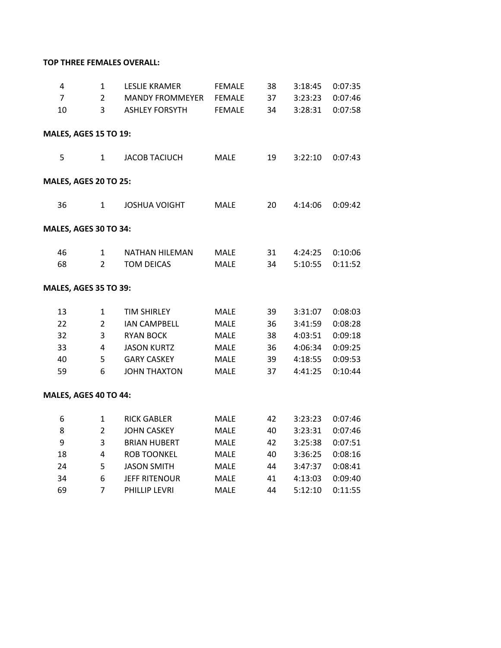# **TOP THREE FEMALES OVERALL:**

| 4<br>$\overline{7}$          | 1<br>$\overline{2}$ | <b>LESLIE KRAMER</b><br><b>MANDY FROMMEYER</b> | <b>FEMALE</b><br><b>FEMALE</b> | 38<br>37 | 3:18:45<br>3:23:23 | 0:07:35<br>0:07:46 |
|------------------------------|---------------------|------------------------------------------------|--------------------------------|----------|--------------------|--------------------|
| 10                           | 3                   | <b>ASHLEY FORSYTH</b>                          | <b>FEMALE</b>                  | 34       | 3:28:31            | 0:07:58            |
| <b>MALES, AGES 15 TO 19:</b> |                     |                                                |                                |          |                    |                    |
| 5                            | 1                   | <b>JACOB TACIUCH</b>                           | <b>MALE</b>                    | 19       | 3:22:10            | 0:07:43            |
| <b>MALES, AGES 20 TO 25:</b> |                     |                                                |                                |          |                    |                    |
| 36                           | 1                   | <b>JOSHUA VOIGHT</b>                           | <b>MALE</b>                    | 20       | 4:14:06            | 0:09:42            |
| MALES, AGES 30 TO 34:        |                     |                                                |                                |          |                    |                    |
| 46                           | 1                   | <b>NATHAN HILEMAN</b>                          | <b>MALE</b>                    | 31       | 4:24:25            | 0:10:06            |
| 68                           | $\overline{2}$      | <b>TOM DEICAS</b>                              | <b>MALE</b>                    | 34       | 5:10:55            | 0:11:52            |
| <b>MALES, AGES 35 TO 39:</b> |                     |                                                |                                |          |                    |                    |
| 13                           | 1                   | <b>TIM SHIRLEY</b>                             | MALE                           | 39       | 3:31:07            | 0:08:03            |
| 22                           | $\overline{2}$      | <b>IAN CAMPBELL</b>                            | <b>MALE</b>                    | 36       | 3:41:59            | 0:08:28            |
| 32                           | 3                   | <b>RYAN BOCK</b>                               | <b>MALE</b>                    | 38       | 4:03:51            | 0:09:18            |
| 33                           | 4                   | <b>JASON KURTZ</b>                             | <b>MALE</b>                    | 36       | 4:06:34            | 0:09:25            |
| 40                           | 5                   | <b>GARY CASKEY</b>                             | MALE                           | 39       | 4:18:55            | 0:09:53            |
| 59                           | 6                   | <b>JOHN THAXTON</b>                            | <b>MALE</b>                    | 37       | 4:41:25            | 0:10:44            |
| MALES, AGES 40 TO 44:        |                     |                                                |                                |          |                    |                    |
| 6                            | $\mathbf{1}$        | <b>RICK GABLER</b>                             | <b>MALE</b>                    | 42       | 3:23:23            | 0:07:46            |
| 8                            | $\overline{2}$      | <b>JOHN CASKEY</b>                             | <b>MALE</b>                    | 40       | 3:23:31            | 0:07:46            |
| 9                            | 3                   | <b>BRIAN HUBERT</b>                            | <b>MALE</b>                    | 42       | 3:25:38            | 0:07:51            |
| 18                           | 4                   | <b>ROB TOONKEL</b>                             | <b>MALE</b>                    | 40       | 3:36:25            | 0:08:16            |
| 24                           | 5                   | <b>JASON SMITH</b>                             | <b>MALE</b>                    | 44       | 3:47:37            | 0:08:41            |
| 34                           | 6                   | <b>JEFF RITENOUR</b>                           | <b>MALE</b>                    | 41       | 4:13:03            | 0:09:40            |
| 69                           | 7                   | PHILLIP LEVRI                                  | <b>MALE</b>                    | 44       | 5:12:10            | 0:11:55            |
|                              |                     |                                                |                                |          |                    |                    |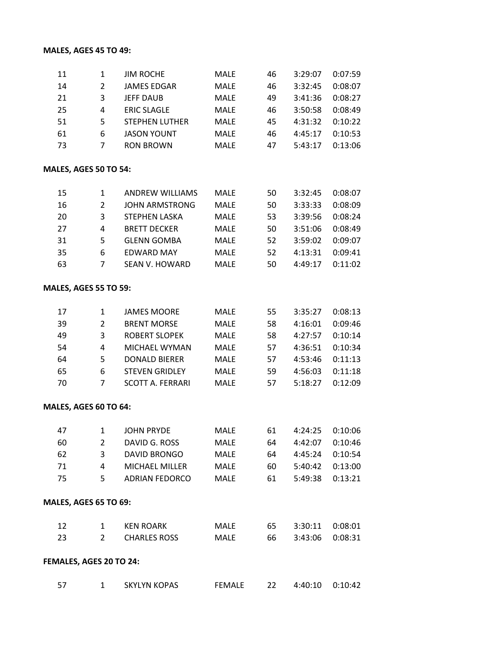# **MALES, AGES 45 TO 49:**

| 11 |    | <b>JIM ROCHE</b>      | <b>MALE</b> | 46 | 3:29:07 | 0:07:59 |
|----|----|-----------------------|-------------|----|---------|---------|
| 14 | 2  | <b>JAMES EDGAR</b>    | <b>MALE</b> | 46 | 3:32:45 | 0:08:07 |
| 21 | 3  | <b>JEFF DAUB</b>      | <b>MALE</b> | 49 | 3:41:36 | 0:08:27 |
| 25 | 4  | <b>ERIC SLAGLE</b>    | <b>MALE</b> | 46 | 3:50:58 | 0:08:49 |
| 51 | 5. | <b>STEPHEN LUTHER</b> | <b>MALE</b> | 45 | 4:31:32 | 0:10:22 |
| 61 | 6  | <b>JASON YOUNT</b>    | <b>MALE</b> | 46 | 4:45:17 | 0:10:53 |
| 73 |    | <b>RON BROWN</b>      | <b>MALE</b> | 47 | 5:43:17 | 0:13:06 |
|    |    |                       |             |    |         |         |

## **MALES, AGES 50 TO 54:**

| 15  |   | <b>ANDREW WILLIAMS</b> | <b>MALE</b> | 50 | 3:32:45 | 0:08:07 |
|-----|---|------------------------|-------------|----|---------|---------|
| -16 |   | <b>JOHN ARMSTRONG</b>  | <b>MALE</b> | 50 | 3:33:33 | 0:08:09 |
| -20 | 3 | <b>STEPHEN LASKA</b>   | <b>MALE</b> | 53 | 3:39:56 | 0:08:24 |
| 27  | 4 | <b>BRETT DECKER</b>    | <b>MALE</b> | 50 | 3:51:06 | 0:08:49 |
| -31 | 5 | <b>GLENN GOMBA</b>     | <b>MALE</b> | 52 | 3:59:02 | 0:09:07 |
| 35  | 6 | EDWARD MAY             | <b>MALE</b> | 52 | 4:13:31 | 0:09:41 |
| -63 |   | SEAN V. HOWARD         | <b>MALF</b> | 50 | 4:49:17 | 0:11:02 |

#### **MALES, AGES 55 TO 59:**

| 17  |   | JAMES MOORE             | MALE        | 55 | 3:35:27 | 0:08:13 |
|-----|---|-------------------------|-------------|----|---------|---------|
| 39  | 2 | <b>BRENT MORSE</b>      | <b>MALE</b> | 58 | 4:16:01 | 0:09:46 |
| 49  | ξ | <b>ROBERT SLOPEK</b>    | <b>MALF</b> | 58 | 4:27:57 | 0:10:14 |
| 54  | 4 | MICHAEL WYMAN           | <b>MALE</b> | 57 | 4:36:51 | 0:10:34 |
| 64  | 5 | <b>DONALD BIERER</b>    | <b>MALE</b> | 57 | 4:53:46 | 0:11:13 |
| 65  | 6 | <b>STEVEN GRIDLEY</b>   | <b>MALE</b> | 59 | 4:56:03 | 0:11:18 |
| -70 |   | <b>SCOTT A. FERRARI</b> | <b>MALF</b> | 57 | 5:18:27 | 0:12:09 |

## **MALES, AGES 60 TO 64:**

| -47 |           | <b>JOHN PRYDE</b>     | MALE        | 61  | $4:24:25$ $0:10:06$ |         |
|-----|-----------|-----------------------|-------------|-----|---------------------|---------|
| 60  |           | DAVID G. ROSS         | <b>MALF</b> | 64  | 4:42:07             | 0:10:46 |
| 62  | 3.        | DAVID BRONGO          | <b>MALF</b> | 64  | 4:45:24             | 0:10:54 |
| 71  | $\Lambda$ | <b>MICHAEL MILLER</b> | <b>MALF</b> | 60. | $5:40:42$ $0:13:00$ |         |
| -75 | 5.        | ADRIAN FEDORCO        | <b>MALF</b> | 61  | 5:49:38             | 0:13:21 |

## **MALES, AGES 65 TO 69:**

| -12 | KFN ROARK    | <b>MALF</b> | 65. | 3:30:11 0:08:01 |  |
|-----|--------------|-------------|-----|-----------------|--|
|     | CHARLES ROSS | MALE        |     | 3:43:06 0:08:31 |  |

# **FEMALES, AGES 20 TO 24:**

|  | SKYLYN KOPAS | <b>FEMALE</b> | 4:40:10 0:10:42 |  |
|--|--------------|---------------|-----------------|--|
|  |              |               |                 |  |